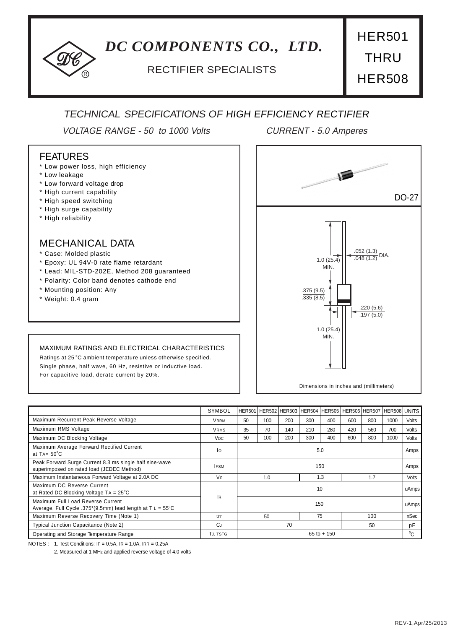# *DC COMPONENTS CO., LTD.*

## <sup>R</sup> RECTIFIER SPECIALISTS

HER501 **THRU** HER508

## TECHNICAL SPECIFICATIONS OF HIGH EFFICIENCY RECTIFIER

VOLTAGE RANGE - 50 to 1000 Volts CURRENT - 5.0 Amperes

#### FEATURES

- \* Low power loss, high efficiency
- \* Low leakage
- \* Low forward voltage drop
- \* High current capability
- \* High speed switching
- \* High surge capability
- \* High reliability

#### MECHANICAL DATA

- \* Case: Molded plastic
- \* Epoxy: UL 94V-0 rate flame retardant
- \* Lead: MIL-STD-202E, Method 208 guaranteed
- \* Polarity: Color band denotes cathode end
- \* Mounting position: Any
- \* Weight: 0.4 gram

#### MAXIMUM RATINGS AND ELECTRICAL CHARACTERISTICS

Ratings at 25 °C ambient temperature unless otherwise specified. Single phase, half wave, 60 Hz, resistive or inductive load. For capacitive load, derate current by 20%.



|                                                                                                          | SYMBOL          |                 | HER501 HER502 HER503 HER504 HER505 |     |     |     |     | HER506 HER507 | HER508 UNITS |              |
|----------------------------------------------------------------------------------------------------------|-----------------|-----------------|------------------------------------|-----|-----|-----|-----|---------------|--------------|--------------|
| Maximum Recurrent Peak Reverse Voltage                                                                   | <b>VRRM</b>     | 50              | 100                                | 200 | 300 | 400 | 600 | 800           | 1000         | Volts        |
| Maximum RMS Voltage                                                                                      | <b>VRMS</b>     | 35              | 70                                 | 140 | 210 | 280 | 420 | 560           | 700          | Volts        |
| Maximum DC Blocking Voltage                                                                              | V <sub>DC</sub> | 50              | 100                                | 200 | 300 | 400 | 600 | 800           | 1000         | <b>Volts</b> |
| Maximum Average Forward Rectified Current<br>at TA= $50^{\circ}$ C                                       | lo              | 5.0             |                                    |     |     |     |     |               |              | Amps         |
| Peak Forward Surge Current 8.3 ms single half sine-wave<br>superimposed on rated load (JEDEC Method)     | <b>IFSM</b>     | 150             |                                    |     |     |     |     |               | Amps         |              |
| Maximum Instantaneous Forward Voltage at 2.0A DC                                                         | <b>VF</b>       | 1.0             |                                    |     |     | 1.3 |     | 1.7           |              | <b>Volts</b> |
| Maximum DC Reverse Current<br>at Rated DC Blocking Voltage $TA = 25^{\circ}C$                            | lR.             | 10              |                                    |     |     |     |     |               |              | uAmps        |
| Maximum Full Load Reverse Current<br>Average, Full Cycle .375*(9.5mm) lead length at $T L = 55^{\circ}C$ | 150             |                 |                                    |     |     |     |     |               | uAmps!       |              |
| Maximum Reverse Recovery Time (Note 1)                                                                   | trr             |                 | 50                                 |     | 75  |     |     | 100           |              | nSec         |
| Typical Junction Capacitance (Note 2)                                                                    | C.I             | 70              |                                    |     |     | 50  |     | pF            |              |              |
| Operating and Storage Temperature Range                                                                  | TJ, TSTG        | $-65$ to $+150$ |                                    |     |     |     |     |               | $^0C$        |              |

NOTES : 1. Test Conditions: IF = 0.5A, IR = 1.0A, IRR = 0.25A

2. Measured at 1 MHz and applied reverse voltage of 4.0 volts